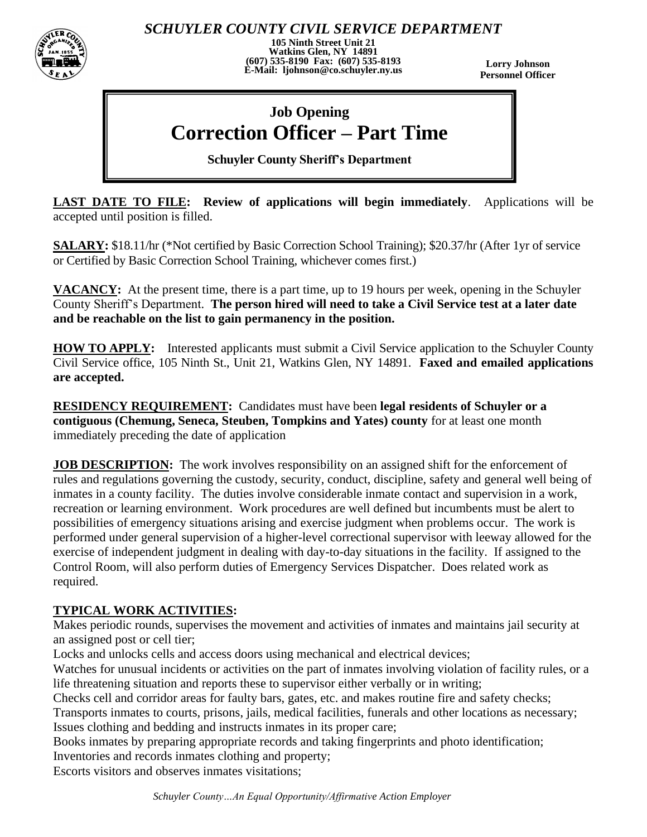

*SCHUYLER COUNTY CIVIL SERVICE DEPARTMENT*

**105 Ninth Street Unit 21 Watkins Glen, NY 14891 (607) 535-8190 Fax: (607) 535-8193 E-Mail: ljohnson@co.schuyler.ny.us**

**Lorry Johnson Personnel Officer**

# **Job Opening Correction Officer – Part Time**

**Schuyler County Sheriff's Department**

**LAST DATE TO FILE: Review of applications will begin immediately**. Applications will be accepted until position is filled.

**SALARY:** \$18.11/hr (\*Not certified by Basic Correction School Training); \$20.37/hr (After 1yr of service or Certified by Basic Correction School Training, whichever comes first.)

**VACANCY:** At the present time, there is a part time, up to 19 hours per week, opening in the Schuyler County Sheriff's Department. **The person hired will need to take a Civil Service test at a later date and be reachable on the list to gain permanency in the position.**

**HOW TO APPLY:** Interested applicants must submit a Civil Service application to the Schuyler County Civil Service office, 105 Ninth St., Unit 21, Watkins Glen, NY 14891. **Faxed and emailed applications are accepted.** 

**RESIDENCY REQUIREMENT:** Candidates must have been **legal residents of Schuyler or a contiguous (Chemung, Seneca, Steuben, Tompkins and Yates) county** for at least one month immediately preceding the date of application

**JOB DESCRIPTION:** The work involves responsibility on an assigned shift for the enforcement of rules and regulations governing the custody, security, conduct, discipline, safety and general well being of inmates in a county facility. The duties involve considerable inmate contact and supervision in a work, recreation or learning environment. Work procedures are well defined but incumbents must be alert to possibilities of emergency situations arising and exercise judgment when problems occur. The work is performed under general supervision of a higher-level correctional supervisor with leeway allowed for the exercise of independent judgment in dealing with day-to-day situations in the facility. If assigned to the Control Room, will also perform duties of Emergency Services Dispatcher. Does related work as required.

# **TYPICAL WORK ACTIVITIES:**

Makes periodic rounds, supervises the movement and activities of inmates and maintains jail security at an assigned post or cell tier;

Locks and unlocks cells and access doors using mechanical and electrical devices;

Watches for unusual incidents or activities on the part of inmates involving violation of facility rules, or a life threatening situation and reports these to supervisor either verbally or in writing;

Checks cell and corridor areas for faulty bars, gates, etc. and makes routine fire and safety checks;

Transports inmates to courts, prisons, jails, medical facilities, funerals and other locations as necessary; Issues clothing and bedding and instructs inmates in its proper care;

Books inmates by preparing appropriate records and taking fingerprints and photo identification; Inventories and records inmates clothing and property;

Escorts visitors and observes inmates visitations;